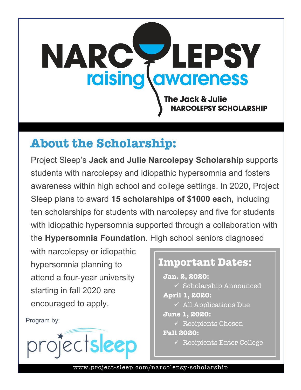

# **About the Scholarship:**

Project Sleep's **Jack and Julie Narcolepsy Scholarship** supports students with narcolepsy and idiopathic hypersomnia and fosters awareness within high school and college settings. In 2020, Project Sleep plans to award **15 scholarships of \$1000 each,** including ten scholarships for students with narcolepsy and five for students with idiopathic hypersomnia supported through a collaboration with the **Hypersomnia Foundation**. High school seniors diagnosed

with narcolepsy or idiopathic hypersomnia planning to attend a four-year university starting in fall 2020 are encouraged to apply.

Program by:



## **Important Dates: Jan. 2, 2020:**   $\checkmark$  Scholarship Announced **April 1, 2020:**   $\checkmark$  All Applications Due **June 1, 2020:**   $\sqrt{\ }$  Recipients Chosen **Fall 2020:**   $\checkmark$  Recipients Enter College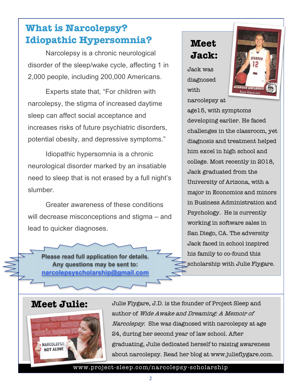## **What is Narcolepsy? Idiopathic Hypersomnia?**

Narcolepsy is a chronic neurological disorder of the sleep/wake cycle, affecting 1 in 2,000 people, including 200,000 Americans.

Experts state that, "For children with narcolepsy, the stigma of increased daytime sleep can affect social acceptance and increases risks of future psychiatric disorders, potential obesity, and depressive symptoms."

Idiopathic hypersomnia is a chronic neurological disorder marked by an insatiable need to sleep that is not erased by a full night's slumber.

Greater awareness of these conditions will decrease misconceptions and stigma – and lead to quicker diagnoses.

**Please read full application for details. Any questions may be sent to: narcolepsyscholarship@gmail.com**

### **Meet Jack:**

Jack was diagnosed with narcolepsy at



age15, with symptoms developing earlier. He faced challenges in the classroom, yet diagnosis and treatment helped him excel in high school and college. Most recently in 2018, Jack graduated from the University of Arizona, with a major in Economics and minors in Business Administration and Psychology. He is currently working in software sales in San Diego, CA. The adversity Jack faced in school inspired his family to co-found this scholarship with Julie Flygare.

### **Meet Julie:**



Julie Flygare, J.D. is the founder of Project Sleep and author of Wide Awake and Dreaming: A Memoir of Narcolepsy. She was diagnosed with narcolepsy at age 24, during her second year of law school. After graduating, Julie dedicated herself to raising awareness about narcolepsy. Read her blog at www.julieflygare.com.

#### www.project-sleep.com/narcolepsy-scholarship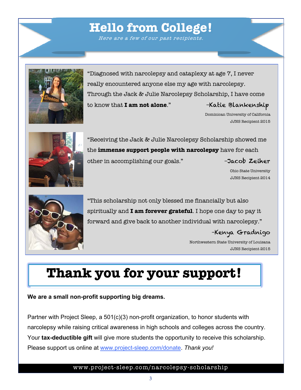# www.project-sleep.com/narcolepsy-scholarship

# **Hello from College!**

Here are a few of our past recipients.

"Diagnosed with narcolepsy and cataplexy at age 7, I never really encountered anyone else my age with narcolepsy. Through the Jack & Julie Narcolepsy Scholarship, I have come to know that **I am not alone**." – Katie Blankenship

> Dominican University of California JJNS Recipient 2015

"Receiving the Jack & Julie Narcolepsy Scholarship showed me the **immense support people with narcolepsy** have for each other in accomplishing our goals." –Jacob Zeiher

Ohio State University JJNS Recipient 2014

"This scholarship not only blessed me financially but also spiritually and **I am forever grateful**. I hope one day to pay it forward and give back to another individual with narcolepsy."

### –Kenya Gradnigo

Northwestern State University of Louisana JJNS Recipient 2015

# **Thank you for your support!**

### **We are a small non-profit supporting big dreams.**

Partner with Project Sleep, a 501(c)(3) non-profit organization, to honor students with narcolepsy while raising critical awareness in high schools and colleges across the country. Your **tax-deductible gift** will give more students the opportunity to receive this scholarship. Please support us online at www.project-sleep.com/donate. *Thank you!*



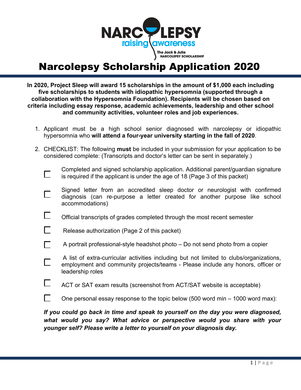

# Narcolepsy Scholarship Application 2020

**In 2020, Project Sleep will award 15 scholarships in the amount of \$1,000 each including five scholarships to students with idiopathic hypersomnia (supported through a collaboration with the Hypersomnia Foundation). Recipients will be chosen based on criteria including essay response, academic achievements, leadership and other school and community activities, volunteer roles and job experiences.** 

- 1. Applicant must be a high school senior diagnosed with narcolepsy or idiopathic hypersomnia who **will attend a four-year university starting in the fall of 2020**.
- 2. CHECKLIST: The following **must** be included in your submission for your application to be considered complete: (Transcripts and doctor's letter can be sent in separately.)

 $\Box$ 

П

Completed and signed scholarship application. Additional parent/guardian signature is required if the applicant is under the age of 18 (Page 3 of this packet)

- Signed letter from an accredited sleep doctor or neurologist with confirmed  $\Box$ diagnosis (can re-purpose a letter created for another purpose like school accommodations)
- $\Box$ Official transcripts of grades completed through the most recent semester



A portrait professional-style headshot photo – Do not send photo from a copier

A list of extra-curricular activities including but not limited to clubs/organizations, employment and community projects/teams - Please include any honors, officer or leadership roles

 $\Box$  ACT or SAT exam results (screenshot from ACT/SAT website is acceptable)

 $\Box$ One personal essay response to the topic below (500 word min – 1000 word max):

*If you could go back in time and speak to yourself on the day you were diagnosed, what would you say? What advice or perspective would you share with your younger self? Please write a letter to yourself on your diagnosis day.*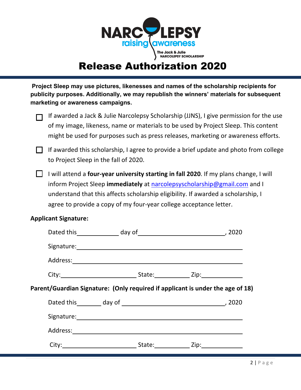

# Release Authorization 2020

**Project Sleep may use pictures, likenesses and names of the scholarship recipients for publicity purposes. Additionally, we may republish the winners' materials for subsequent marketing or awareness campaigns.** 

Ĩ

 (If awarded a Jack & Julie Narcolepsy Scholarship (JJNS), I give permission for the use of my image, likeness, name or materials to be used by Project Sleep. This content might be used for purposes such as press releases, marketing or awareness efforts.

 $\Box$  If awarded this scholarship, I agree to provide a brief update and photo from college to Project Sleep in the fall of 2020.

I will attend a **four-year university starting in fall 2020**. If my plans change, I will inform Project Sleep **immediately** at narcolepsyscholarship@gmail.com and I understand that this affects scholarship eligibility. If awarded a scholarship, I agree to provide a copy of my four-year college acceptance letter.

#### **Applicant Signature:**

|                                                                                | Signature: and the contract of the contract of the contract of the contract of the contract of the contract of                                                                                                                |  |
|--------------------------------------------------------------------------------|-------------------------------------------------------------------------------------------------------------------------------------------------------------------------------------------------------------------------------|--|
|                                                                                |                                                                                                                                                                                                                               |  |
|                                                                                | City: City: City: City: City: City: City: City: City: City: City: City: City: City: City: City: City: City: City: City: City: City: City: City: City: City: City: City: City: City: City: City: City: City: City: City: City: |  |
| Parent/Guardian Signature: (Only required if applicant is under the age of 18) |                                                                                                                                                                                                                               |  |
|                                                                                |                                                                                                                                                                                                                               |  |
|                                                                                |                                                                                                                                                                                                                               |  |
|                                                                                |                                                                                                                                                                                                                               |  |
|                                                                                |                                                                                                                                                                                                                               |  |